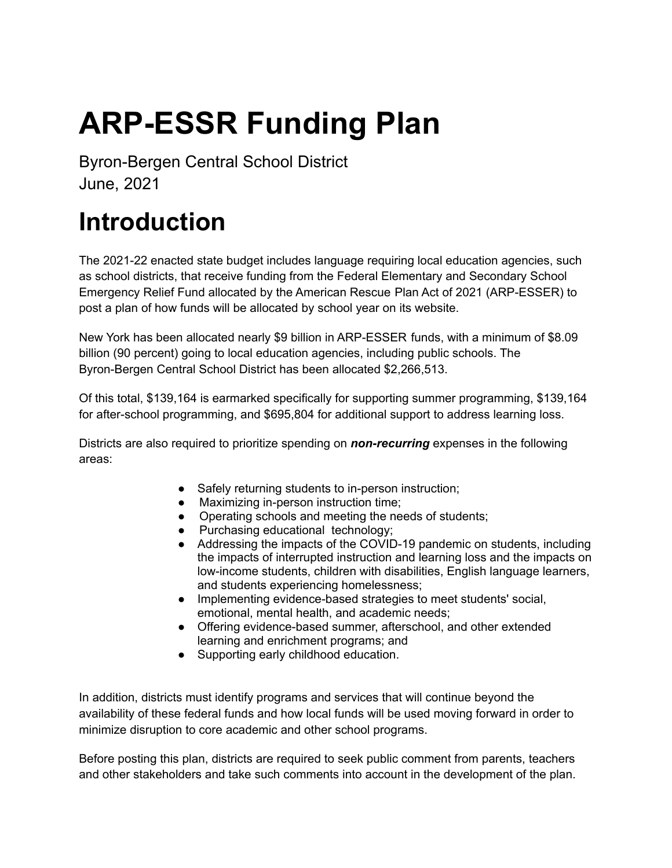# **ARP-ESSR Funding Plan**

Byron-Bergen Central School District June, 2021

## **Introduction**

The 2021-22 enacted state budget includes language requiring local education agencies, such as school districts, that receive funding from the Federal Elementary and Secondary School Emergency Relief Fund allocated by the American Rescue Plan Act of 2021 (ARP-ESSER) to post a plan of how funds will be allocated by school year on its website.

New York has been allocated nearly \$9 billion in ARP-ESSER funds, with a minimum of \$8.09 billion (90 percent) going to local education agencies, including public schools. The Byron-Bergen Central School District has been allocated \$2,266,513.

Of this total, \$139,164 is earmarked specifically for supporting summer programming, \$139,164 for after-school programming, and \$695,804 for additional support to address learning loss.

Districts are also required to prioritize spending on *non-recurring* expenses in the following areas:

- Safely returning students to in-person instruction;
- Maximizing in-person instruction time;
- Operating schools and meeting the needs of students;
- Purchasing educational technology;
- Addressing the impacts of the COVID-19 pandemic on students, including the impacts of interrupted instruction and learning loss and the impacts on low-income students, children with disabilities, English language learners, and students experiencing homelessness;
- Implementing evidence-based strategies to meet students' social, emotional, mental health, and academic needs;
- Offering evidence-based summer, afterschool, and other extended learning and enrichment programs; and
- Supporting early childhood education.

In addition, districts must identify programs and services that will continue beyond the availability of these federal funds and how local funds will be used moving forward in order to minimize disruption to core academic and other school programs.

Before posting this plan, districts are required to seek public comment from parents, teachers and other stakeholders and take such comments into account in the development of the plan.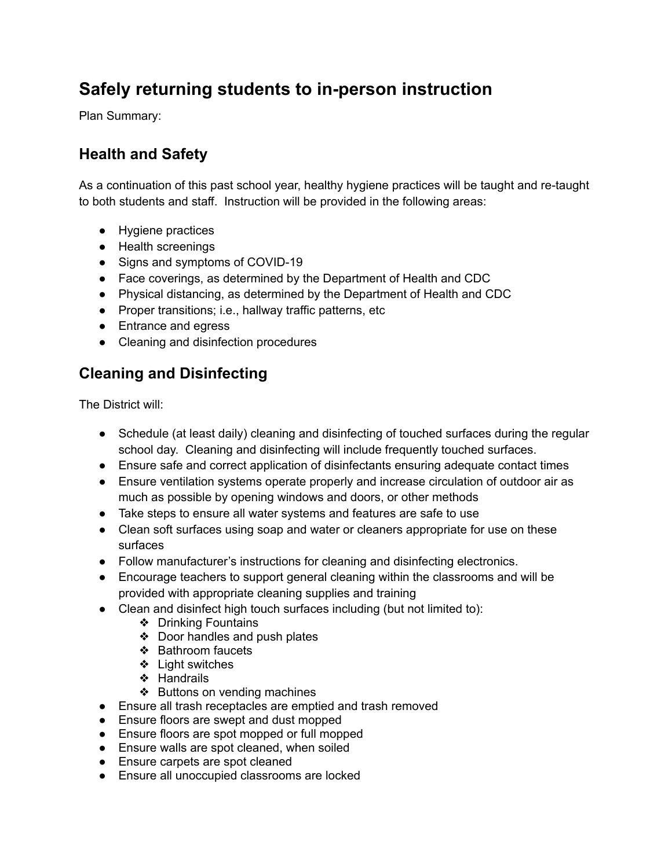## **Safely returning students to in-person instruction**

Plan Summary:

## **Health and Safety**

As a continuation of this past school year, healthy hygiene practices will be taught and re-taught to both students and staff. Instruction will be provided in the following areas:

- Hygiene practices
- Health screenings
- Signs and symptoms of COVID-19
- Face coverings, as determined by the Department of Health and CDC
- Physical distancing, as determined by the Department of Health and CDC
- Proper transitions; i.e., hallway traffic patterns, etc
- Entrance and egress
- Cleaning and disinfection procedures

### **Cleaning and Disinfecting**

The District will:

- Schedule (at least daily) cleaning and disinfecting of touched surfaces during the regular school day. Cleaning and disinfecting will include frequently touched surfaces.
- Ensure safe and correct application of disinfectants ensuring adequate contact times
- Ensure ventilation systems operate properly and increase circulation of outdoor air as much as possible by opening windows and doors, or other methods
- Take steps to ensure all water systems and features are safe to use
- Clean soft surfaces using soap and water or cleaners appropriate for use on these surfaces
- Follow manufacturer's instructions for cleaning and disinfecting electronics.
- Encourage teachers to support general cleaning within the classrooms and will be provided with appropriate cleaning supplies and training
- Clean and disinfect high touch surfaces including (but not limited to):
	- ❖ Drinking Fountains
	- ❖ Door handles and push plates
	- ❖ Bathroom faucets
	- ❖ Light switches
	- ❖ Handrails
	- ❖ Buttons on vending machines
- Ensure all trash receptacles are emptied and trash removed
- Ensure floors are swept and dust mopped
- Ensure floors are spot mopped or full mopped
- Ensure walls are spot cleaned, when soiled
- Ensure carpets are spot cleaned
- Ensure all unoccupied classrooms are locked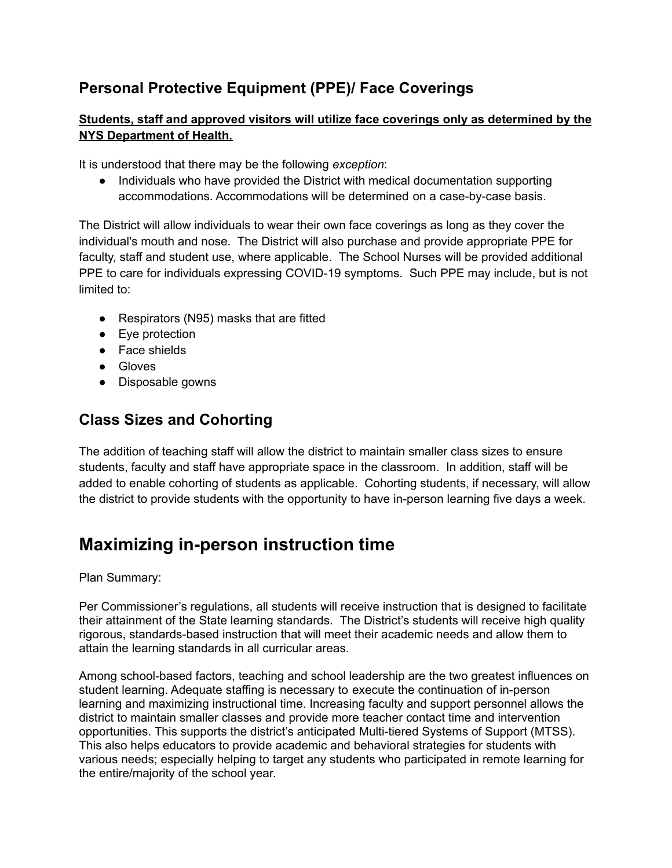## **Personal Protective Equipment (PPE)/ Face Coverings**

#### **Students, staff and approved visitors will utilize face coverings only as determined by the NYS Department of Health.**

It is understood that there may be the following *exception*:

● Individuals who have provided the District with medical documentation supporting accommodations. Accommodations will be determined on a case-by-case basis.

The District will allow individuals to wear their own face coverings as long as they cover the individual's mouth and nose. The District will also purchase and provide appropriate PPE for faculty, staff and student use, where applicable. The School Nurses will be provided additional PPE to care for individuals expressing COVID-19 symptoms. Such PPE may include, but is not limited to:

- Respirators (N95) masks that are fitted
- Eye protection
- Face shields
- Gloves
- Disposable gowns

#### **Class Sizes and Cohorting**

The addition of teaching staff will allow the district to maintain smaller class sizes to ensure students, faculty and staff have appropriate space in the classroom. In addition, staff will be added to enable cohorting of students as applicable. Cohorting students, if necessary, will allow the district to provide students with the opportunity to have in-person learning five days a week.

## **Maximizing in-person instruction time**

Plan Summary:

Per Commissioner's regulations, all students will receive instruction that is designed to facilitate their attainment of the State learning standards. The District's students will receive high quality rigorous, standards-based instruction that will meet their academic needs and allow them to attain the learning standards in all curricular areas.

Among school-based factors, teaching and school leadership are the two greatest influences on student learning. Adequate staffing is necessary to execute the continuation of in-person learning and maximizing instructional time. Increasing faculty and support personnel allows the district to maintain smaller classes and provide more teacher contact time and intervention opportunities. This supports the district's anticipated Multi-tiered Systems of Support (MTSS). This also helps educators to provide academic and behavioral strategies for students with various needs; especially helping to target any students who participated in remote learning for the entire/majority of the school year.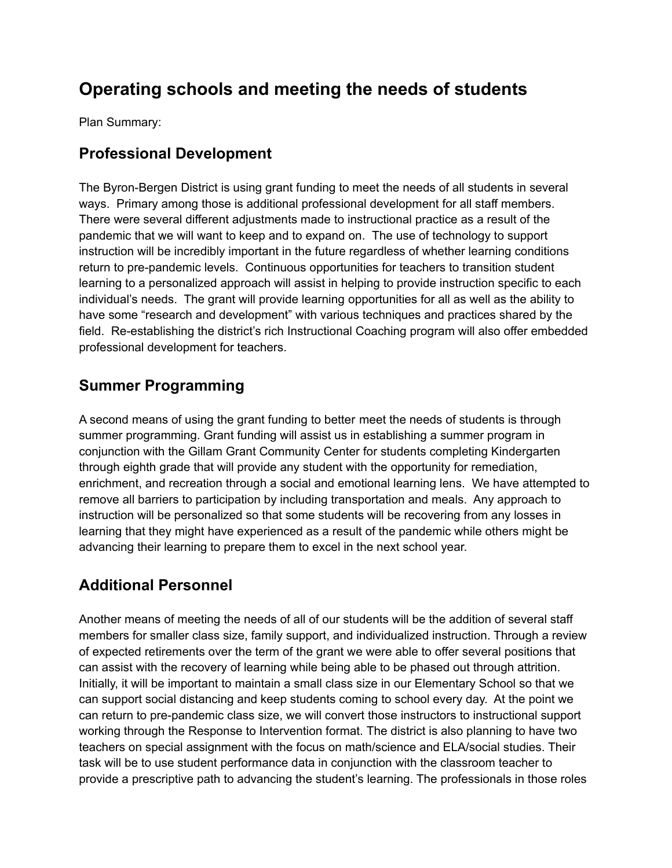## **Operating schools and meeting the needs of students**

Plan Summary:

#### **Professional Development**

The Byron-Bergen District is using grant funding to meet the needs of all students in several ways. Primary among those is additional professional development for all staff members. There were several different adjustments made to instructional practice as a result of the pandemic that we will want to keep and to expand on. The use of technology to support instruction will be incredibly important in the future regardless of whether learning conditions return to pre-pandemic levels. Continuous opportunities for teachers to transition student learning to a personalized approach will assist in helping to provide instruction specific to each individual's needs. The grant will provide learning opportunities for all as well as the ability to have some "research and development" with various techniques and practices shared by the field. Re-establishing the district's rich Instructional Coaching program will also offer embedded professional development for teachers.

#### **Summer Programming**

A second means of using the grant funding to better meet the needs of students is through summer programming. Grant funding will assist us in establishing a summer program in conjunction with the Gillam Grant Community Center for students completing Kindergarten through eighth grade that will provide any student with the opportunity for remediation, enrichment, and recreation through a social and emotional learning lens. We have attempted to remove all barriers to participation by including transportation and meals. Any approach to instruction will be personalized so that some students will be recovering from any losses in learning that they might have experienced as a result of the pandemic while others might be advancing their learning to prepare them to excel in the next school year.

#### **Additional Personnel**

Another means of meeting the needs of all of our students will be the addition of several staff members for smaller class size, family support, and individualized instruction. Through a review of expected retirements over the term of the grant we were able to offer several positions that can assist with the recovery of learning while being able to be phased out through attrition. Initially, it will be important to maintain a small class size in our Elementary School so that we can support social distancing and keep students coming to school every day. At the point we can return to pre-pandemic class size, we will convert those instructors to instructional support working through the Response to Intervention format. The district is also planning to have two teachers on special assignment with the focus on math/science and ELA/social studies. Their task will be to use student performance data in conjunction with the classroom teacher to provide a prescriptive path to advancing the student's learning. The professionals in those roles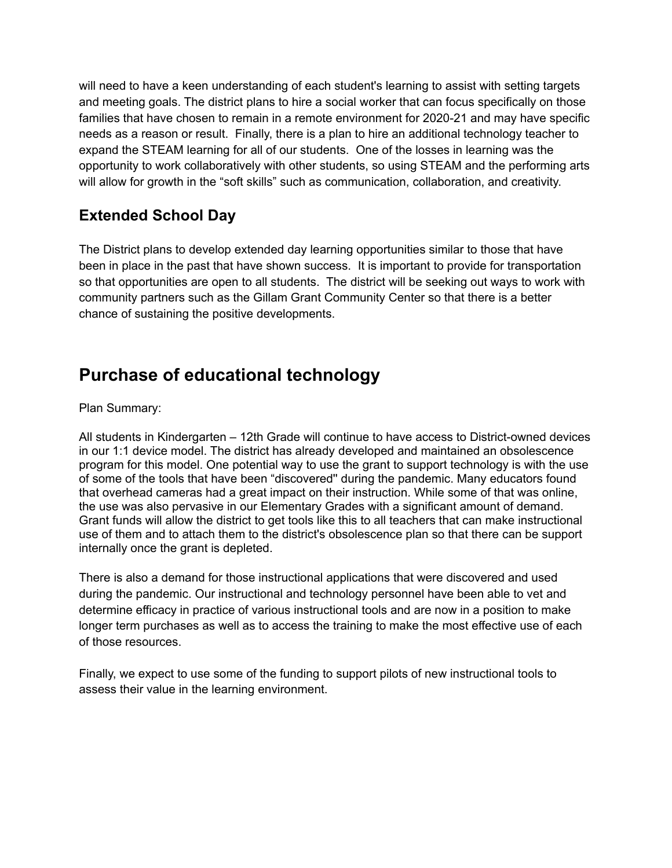will need to have a keen understanding of each student's learning to assist with setting targets and meeting goals. The district plans to hire a social worker that can focus specifically on those families that have chosen to remain in a remote environment for 2020-21 and may have specific needs as a reason or result. Finally, there is a plan to hire an additional technology teacher to expand the STEAM learning for all of our students. One of the losses in learning was the opportunity to work collaboratively with other students, so using STEAM and the performing arts will allow for growth in the "soft skills" such as communication, collaboration, and creativity.

## **Extended School Day**

The District plans to develop extended day learning opportunities similar to those that have been in place in the past that have shown success. It is important to provide for transportation so that opportunities are open to all students. The district will be seeking out ways to work with community partners such as the Gillam Grant Community Center so that there is a better chance of sustaining the positive developments.

## **Purchase of educational technology**

Plan Summary:

All students in Kindergarten – 12th Grade will continue to have access to District-owned devices in our 1:1 device model. The district has already developed and maintained an obsolescence program for this model. One potential way to use the grant to support technology is with the use of some of the tools that have been "discovered'' during the pandemic. Many educators found that overhead cameras had a great impact on their instruction. While some of that was online, the use was also pervasive in our Elementary Grades with a significant amount of demand. Grant funds will allow the district to get tools like this to all teachers that can make instructional use of them and to attach them to the district's obsolescence plan so that there can be support internally once the grant is depleted.

There is also a demand for those instructional applications that were discovered and used during the pandemic. Our instructional and technology personnel have been able to vet and determine efficacy in practice of various instructional tools and are now in a position to make longer term purchases as well as to access the training to make the most effective use of each of those resources.

Finally, we expect to use some of the funding to support pilots of new instructional tools to assess their value in the learning environment.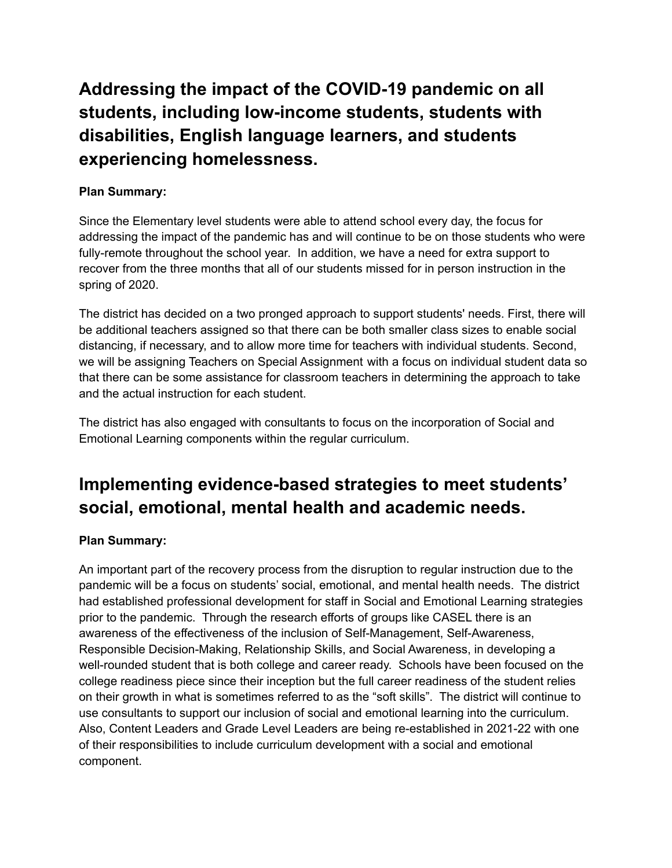**Addressing the impact of the COVID-19 pandemic on all students, including low-income students, students with disabilities, English language learners, and students experiencing homelessness.**

#### **Plan Summary:**

Since the Elementary level students were able to attend school every day, the focus for addressing the impact of the pandemic has and will continue to be on those students who were fully-remote throughout the school year. In addition, we have a need for extra support to recover from the three months that all of our students missed for in person instruction in the spring of 2020.

The district has decided on a two pronged approach to support students' needs. First, there will be additional teachers assigned so that there can be both smaller class sizes to enable social distancing, if necessary, and to allow more time for teachers with individual students. Second, we will be assigning Teachers on Special Assignment with a focus on individual student data so that there can be some assistance for classroom teachers in determining the approach to take and the actual instruction for each student.

The district has also engaged with consultants to focus on the incorporation of Social and Emotional Learning components within the regular curriculum.

## **Implementing evidence-based strategies to meet students' social, emotional, mental health and academic needs.**

#### **Plan Summary:**

An important part of the recovery process from the disruption to regular instruction due to the pandemic will be a focus on students' social, emotional, and mental health needs. The district had established professional development for staff in Social and Emotional Learning strategies prior to the pandemic. Through the research efforts of groups like CASEL there is an awareness of the effectiveness of the inclusion of Self-Management, Self-Awareness, Responsible Decision-Making, Relationship Skills, and Social Awareness, in developing a well-rounded student that is both college and career ready. Schools have been focused on the college readiness piece since their inception but the full career readiness of the student relies on their growth in what is sometimes referred to as the "soft skills". The district will continue to use consultants to support our inclusion of social and emotional learning into the curriculum. Also, Content Leaders and Grade Level Leaders are being re-established in 2021-22 with one of their responsibilities to include curriculum development with a social and emotional component.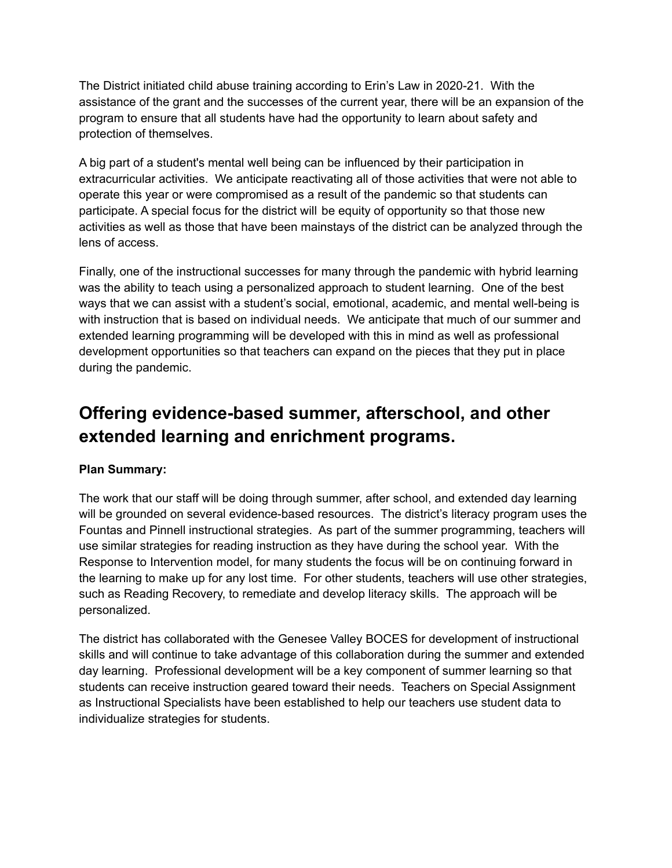The District initiated child abuse training according to Erin's Law in 2020-21. With the assistance of the grant and the successes of the current year, there will be an expansion of the program to ensure that all students have had the opportunity to learn about safety and protection of themselves.

A big part of a student's mental well being can be influenced by their participation in extracurricular activities. We anticipate reactivating all of those activities that were not able to operate this year or were compromised as a result of the pandemic so that students can participate. A special focus for the district will be equity of opportunity so that those new activities as well as those that have been mainstays of the district can be analyzed through the lens of access.

Finally, one of the instructional successes for many through the pandemic with hybrid learning was the ability to teach using a personalized approach to student learning. One of the best ways that we can assist with a student's social, emotional, academic, and mental well-being is with instruction that is based on individual needs. We anticipate that much of our summer and extended learning programming will be developed with this in mind as well as professional development opportunities so that teachers can expand on the pieces that they put in place during the pandemic.

## **Offering evidence-based summer, afterschool, and other extended learning and enrichment programs.**

#### **Plan Summary:**

The work that our staff will be doing through summer, after school, and extended day learning will be grounded on several evidence-based resources. The district's literacy program uses the Fountas and Pinnell instructional strategies. As part of the summer programming, teachers will use similar strategies for reading instruction as they have during the school year. With the Response to Intervention model, for many students the focus will be on continuing forward in the learning to make up for any lost time. For other students, teachers will use other strategies, such as Reading Recovery, to remediate and develop literacy skills. The approach will be personalized.

The district has collaborated with the Genesee Valley BOCES for development of instructional skills and will continue to take advantage of this collaboration during the summer and extended day learning. Professional development will be a key component of summer learning so that students can receive instruction geared toward their needs. Teachers on Special Assignment as Instructional Specialists have been established to help our teachers use student data to individualize strategies for students.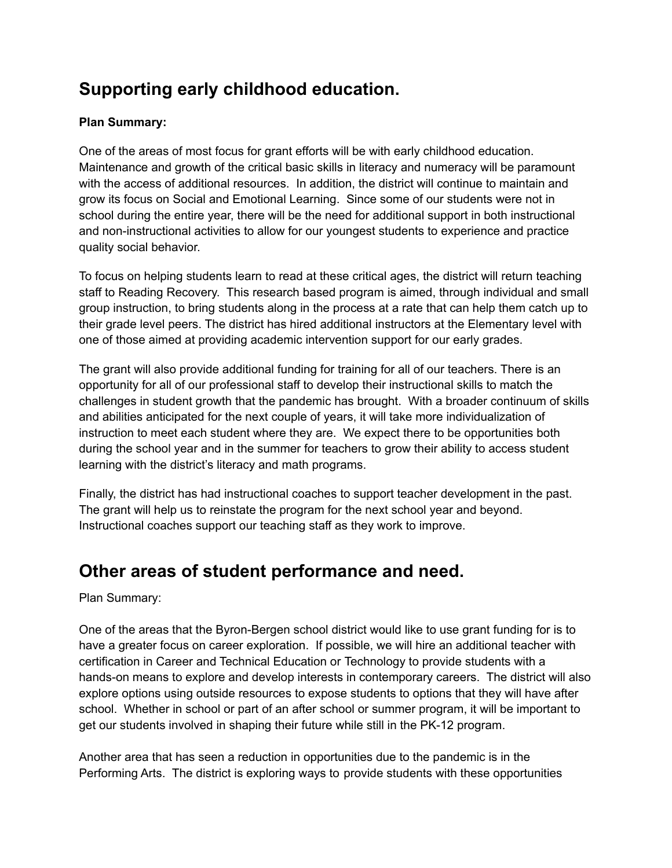## **Supporting early childhood education.**

#### **Plan Summary:**

One of the areas of most focus for grant efforts will be with early childhood education. Maintenance and growth of the critical basic skills in literacy and numeracy will be paramount with the access of additional resources. In addition, the district will continue to maintain and grow its focus on Social and Emotional Learning. Since some of our students were not in school during the entire year, there will be the need for additional support in both instructional and non-instructional activities to allow for our youngest students to experience and practice quality social behavior.

To focus on helping students learn to read at these critical ages, the district will return teaching staff to Reading Recovery. This research based program is aimed, through individual and small group instruction, to bring students along in the process at a rate that can help them catch up to their grade level peers. The district has hired additional instructors at the Elementary level with one of those aimed at providing academic intervention support for our early grades.

The grant will also provide additional funding for training for all of our teachers. There is an opportunity for all of our professional staff to develop their instructional skills to match the challenges in student growth that the pandemic has brought. With a broader continuum of skills and abilities anticipated for the next couple of years, it will take more individualization of instruction to meet each student where they are. We expect there to be opportunities both during the school year and in the summer for teachers to grow their ability to access student learning with the district's literacy and math programs.

Finally, the district has had instructional coaches to support teacher development in the past. The grant will help us to reinstate the program for the next school year and beyond. Instructional coaches support our teaching staff as they work to improve.

## **Other areas of student performance and need.**

Plan Summary:

One of the areas that the Byron-Bergen school district would like to use grant funding for is to have a greater focus on career exploration. If possible, we will hire an additional teacher with certification in Career and Technical Education or Technology to provide students with a hands-on means to explore and develop interests in contemporary careers. The district will also explore options using outside resources to expose students to options that they will have after school. Whether in school or part of an after school or summer program, it will be important to get our students involved in shaping their future while still in the PK-12 program.

Another area that has seen a reduction in opportunities due to the pandemic is in the Performing Arts. The district is exploring ways to provide students with these opportunities